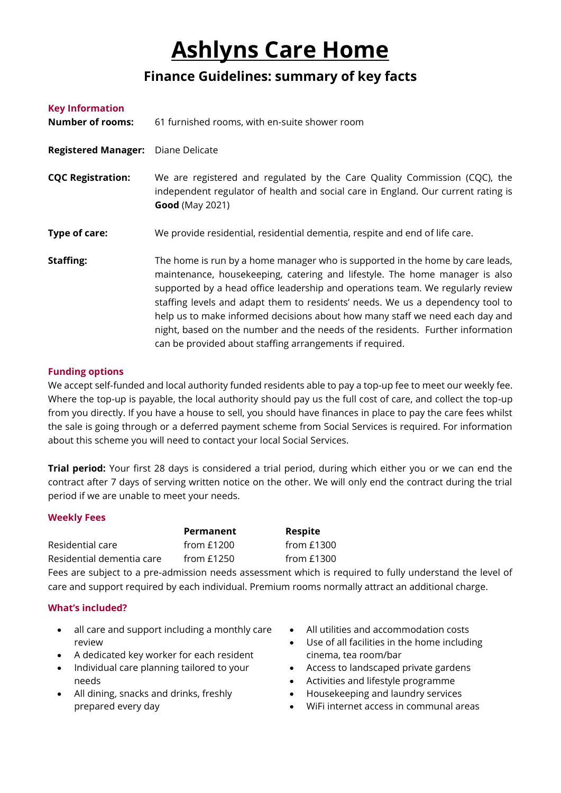# **Ashlyns Care Home**

# **Finance Guidelines: summary of key facts**

| <b>Key Information</b><br><b>Number of rooms:</b> | 61 furnished rooms, with en-suite shower room                                                                                                                                                                                                                                                                                                                                                                                                                                                                                                                  |
|---------------------------------------------------|----------------------------------------------------------------------------------------------------------------------------------------------------------------------------------------------------------------------------------------------------------------------------------------------------------------------------------------------------------------------------------------------------------------------------------------------------------------------------------------------------------------------------------------------------------------|
| <b>Registered Manager:</b>                        | Diane Delicate                                                                                                                                                                                                                                                                                                                                                                                                                                                                                                                                                 |
| <b>CQC Registration:</b>                          | We are registered and regulated by the Care Quality Commission (CQC), the<br>independent regulator of health and social care in England. Our current rating is<br><b>Good</b> (May 2021)                                                                                                                                                                                                                                                                                                                                                                       |
| Type of care:                                     | We provide residential, residential dementia, respite and end of life care.                                                                                                                                                                                                                                                                                                                                                                                                                                                                                    |
| <b>Staffing:</b>                                  | The home is run by a home manager who is supported in the home by care leads,<br>maintenance, housekeeping, catering and lifestyle. The home manager is also<br>supported by a head office leadership and operations team. We regularly review<br>staffing levels and adapt them to residents' needs. We us a dependency tool to<br>help us to make informed decisions about how many staff we need each day and<br>night, based on the number and the needs of the residents. Further information<br>can be provided about staffing arrangements if required. |

## **Funding options**

We accept self-funded and local authority funded residents able to pay a top-up fee to meet our weekly fee. Where the top-up is payable, the local authority should pay us the full cost of care, and collect the top-up from you directly. If you have a house to sell, you should have finances in place to pay the care fees whilst the sale is going through or a deferred payment scheme from Social Services is required. For information about this scheme you will need to contact your local Social Services.

**Trial period:** Your first 28 days is considered a trial period, during which either you or we can end the contract after 7 days of serving written notice on the other. We will only end the contract during the trial period if we are unable to meet your needs.

### **Weekly Fees**

|                           | Permanent    | <b>Respite</b> |
|---------------------------|--------------|----------------|
| Residential care          | from $£1200$ | from $£1300$   |
| Residential dementia care | from $£1250$ | from $£1300$   |

Fees are subject to a pre-admission needs assessment which is required to fully understand the level of care and support required by each individual. Premium rooms normally attract an additional charge.

# **What's included?**

- all care and support including a monthly care review
- A dedicated key worker for each resident
- Individual care planning tailored to your needs
- All dining, snacks and drinks, freshly prepared every day
- All utilities and accommodation costs
- Use of all facilities in the home including cinema, tea room/bar
- Access to landscaped private gardens
- Activities and lifestyle programme
- Housekeeping and laundry services
- WiFi internet access in communal areas